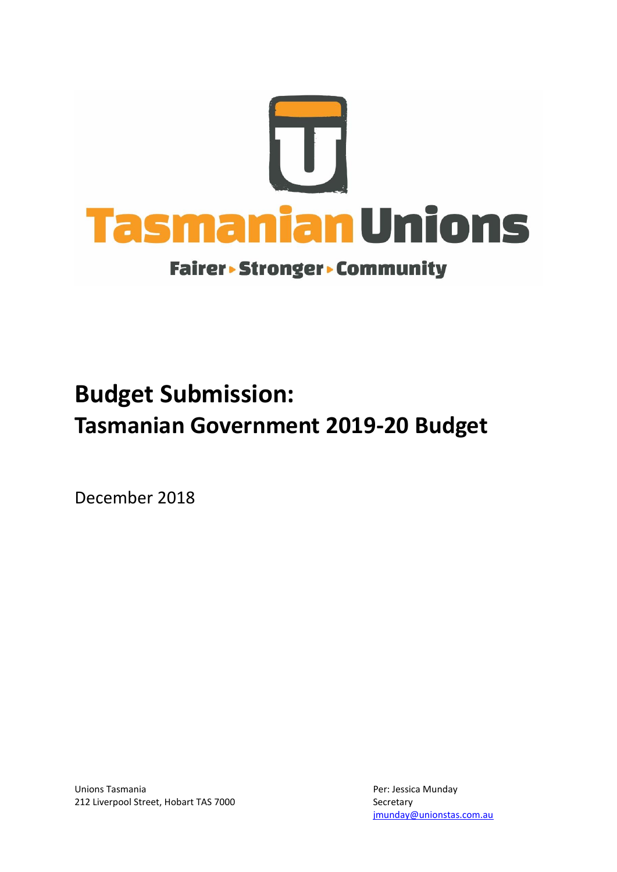

# **Budget Submission: Tasmanian Government 2019-20 Budget**

December 2018

Unions Tasmania **Per: Jessica Munday** 212 Liverpool Street, Hobart TAS 7000 Secretary

[jmunday@unionstas.com.au](mailto:jmunday@unionstas.com.au)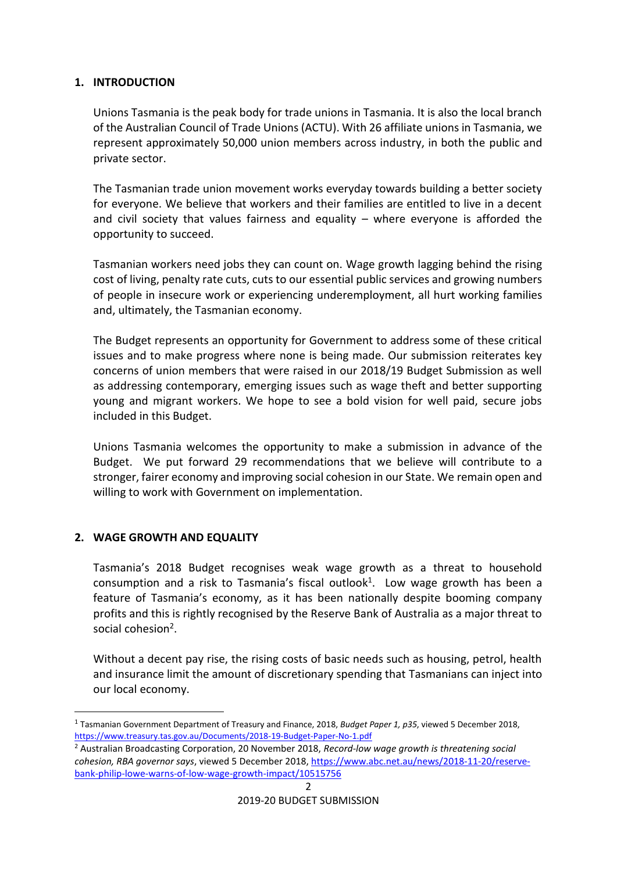## **1. INTRODUCTION**

Unions Tasmania is the peak body for trade unions in Tasmania. It is also the local branch of the Australian Council of Trade Unions (ACTU). With 26 affiliate unions in Tasmania, we represent approximately 50,000 union members across industry, in both the public and private sector.

The Tasmanian trade union movement works everyday towards building a better society for everyone. We believe that workers and their families are entitled to live in a decent and civil society that values fairness and equality – where everyone is afforded the opportunity to succeed.

Tasmanian workers need jobs they can count on. Wage growth lagging behind the rising cost of living, penalty rate cuts, cuts to our essential public services and growing numbers of people in insecure work or experiencing underemployment, all hurt working families and, ultimately, the Tasmanian economy.

The Budget represents an opportunity for Government to address some of these critical issues and to make progress where none is being made. Our submission reiterates key concerns of union members that were raised in our 2018/19 Budget Submission as well as addressing contemporary, emerging issues such as wage theft and better supporting young and migrant workers. We hope to see a bold vision for well paid, secure jobs included in this Budget.

Unions Tasmania welcomes the opportunity to make a submission in advance of the Budget. We put forward 29 recommendations that we believe will contribute to a stronger, fairer economy and improving social cohesion in our State. We remain open and willing to work with Government on implementation.

## **2. WAGE GROWTH AND EQUALITY**

<u>.</u>

Tasmania's 2018 Budget recognises weak wage growth as a threat to household consumption and a risk to Tasmania's fiscal outlook<sup>1</sup>. Low wage growth has been a feature of Tasmania's economy, as it has been nationally despite booming company profits and this is rightly recognised by the Reserve Bank of Australia as a major threat to social cohesion<sup>2</sup>.

Without a decent pay rise, the rising costs of basic needs such as housing, petrol, health and insurance limit the amount of discretionary spending that Tasmanians can inject into our local economy.

<sup>1</sup> Tasmanian Government Department of Treasury and Finance, 2018, *Budget Paper 1, p35*, viewed 5 December 2018, <https://www.treasury.tas.gov.au/Documents/2018-19-Budget-Paper-No-1.pdf>

<sup>2</sup> Australian Broadcasting Corporation, 20 November 2018, *Record-low wage growth is threatening social cohesion, RBA governor says*, viewed 5 December 2018[, https://www.abc.net.au/news/2018-11-20/reserve](https://www.abc.net.au/news/2018-11-20/reserve-bank-philip-lowe-warns-of-low-wage-growth-impact/10515756)[bank-philip-lowe-warns-of-low-wage-growth-impact/10515756](https://www.abc.net.au/news/2018-11-20/reserve-bank-philip-lowe-warns-of-low-wage-growth-impact/10515756)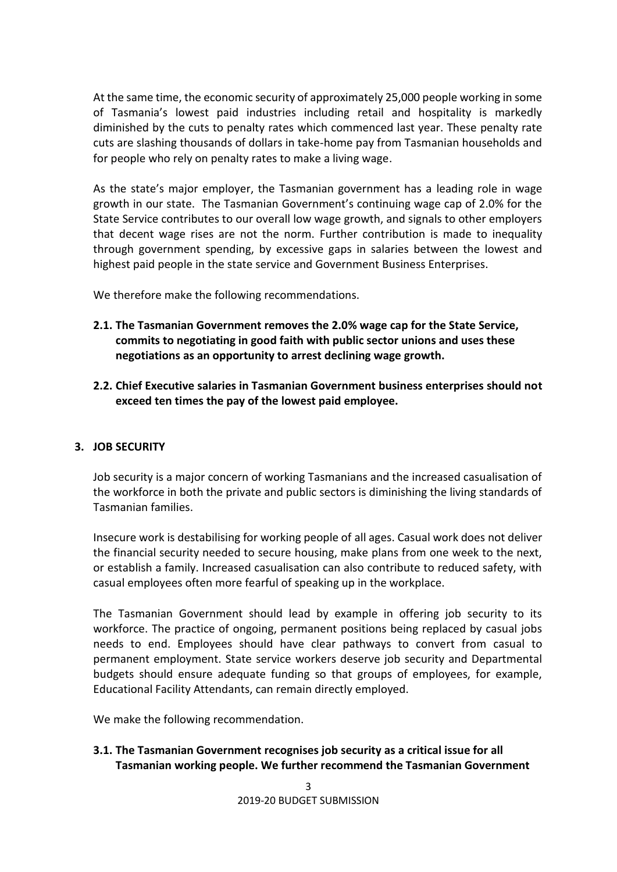At the same time, the economic security of approximately 25,000 people working in some of Tasmania's lowest paid industries including retail and hospitality is markedly diminished by the cuts to penalty rates which commenced last year. These penalty rate cuts are slashing thousands of dollars in take-home pay from Tasmanian households and for people who rely on penalty rates to make a living wage.

As the state's major employer, the Tasmanian government has a leading role in wage growth in our state. The Tasmanian Government's continuing wage cap of 2.0% for the State Service contributes to our overall low wage growth, and signals to other employers that decent wage rises are not the norm. Further contribution is made to inequality through government spending, by excessive gaps in salaries between the lowest and highest paid people in the state service and Government Business Enterprises.

We therefore make the following recommendations.

- **2.1. The Tasmanian Government removes the 2.0% wage cap for the State Service, commits to negotiating in good faith with public sector unions and uses these negotiations as an opportunity to arrest declining wage growth.**
- **2.2. Chief Executive salaries in Tasmanian Government business enterprises should not exceed ten times the pay of the lowest paid employee.**

## **3. JOB SECURITY**

Job security is a major concern of working Tasmanians and the increased casualisation of the workforce in both the private and public sectors is diminishing the living standards of Tasmanian families.

Insecure work is destabilising for working people of all ages. Casual work does not deliver the financial security needed to secure housing, make plans from one week to the next, or establish a family. Increased casualisation can also contribute to reduced safety, with casual employees often more fearful of speaking up in the workplace.

The Tasmanian Government should lead by example in offering job security to its workforce. The practice of ongoing, permanent positions being replaced by casual jobs needs to end. Employees should have clear pathways to convert from casual to permanent employment. State service workers deserve job security and Departmental budgets should ensure adequate funding so that groups of employees, for example, Educational Facility Attendants, can remain directly employed.

We make the following recommendation.

**3.1. The Tasmanian Government recognises job security as a critical issue for all Tasmanian working people. We further recommend the Tasmanian Government**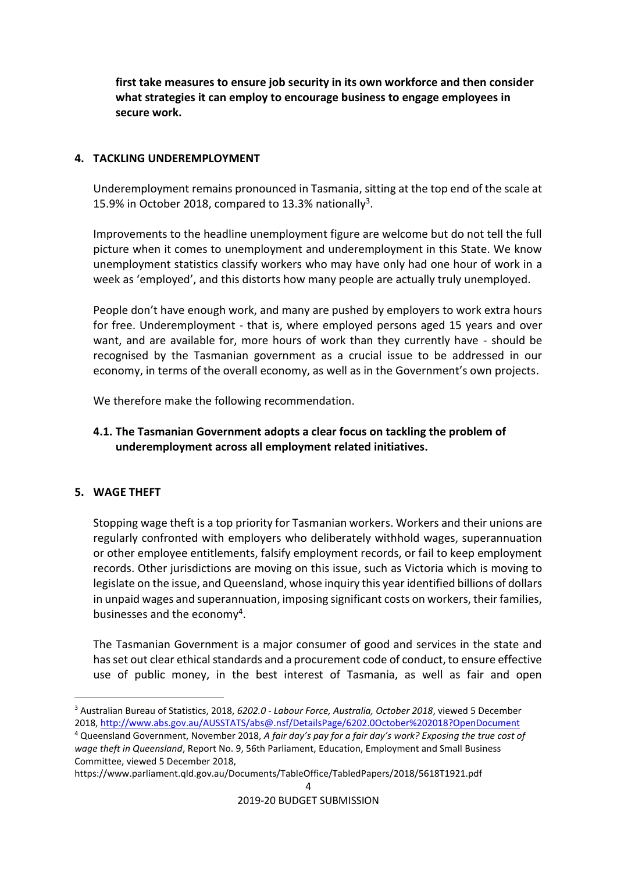**first take measures to ensure job security in its own workforce and then consider what strategies it can employ to encourage business to engage employees in secure work.**

## **4. TACKLING UNDEREMPLOYMENT**

Underemployment remains pronounced in Tasmania, sitting at the top end of the scale at 15.9% in October 2018, compared to 13.3% nationally<sup>3</sup>.

Improvements to the headline unemployment figure are welcome but do not tell the full picture when it comes to unemployment and underemployment in this State. We know unemployment statistics classify workers who may have only had one hour of work in a week as 'employed', and this distorts how many people are actually truly unemployed.

People don't have enough work, and many are pushed by employers to work extra hours for free. Underemployment - that is, where employed persons aged 15 years and over want, and are available for, more hours of work than they currently have - should be recognised by the Tasmanian government as a crucial issue to be addressed in our economy, in terms of the overall economy, as well as in the Government's own projects.

We therefore make the following recommendation.

## **4.1. The Tasmanian Government adopts a clear focus on tackling the problem of underemployment across all employment related initiatives.**

## **5. WAGE THEFT**

Stopping wage theft is a top priority for Tasmanian workers. Workers and their unions are regularly confronted with employers who deliberately withhold wages, superannuation or other employee entitlements, falsify employment records, or fail to keep employment records. Other jurisdictions are moving on this issue, such as Victoria which is moving to legislate on the issue, and Queensland, whose inquiry this year identified billions of dollars in unpaid wages and superannuation, imposing significant costs on workers, their families, businesses and the economy<sup>4</sup>.

The Tasmanian Government is a major consumer of good and services in the state and has set out clear ethical standards and a procurement code of conduct, to ensure effective use of public money, in the best interest of Tasmania, as well as fair and open

https://www.parliament.qld.gov.au/Documents/TableOffice/TabledPapers/2018/5618T1921.pdf

<sup>&</sup>lt;u>.</u> <sup>3</sup> Australian Bureau of Statistics, 2018, *6202.0 - Labour Force, Australia, October 2018*, viewed 5 December 2018,<http://www.abs.gov.au/AUSSTATS/abs@.nsf/DetailsPage/6202.0October%202018?OpenDocument>

<sup>4</sup> Queensland Government, November 2018, *A fair day's pay for a fair day's work? Exposing the true cost of wage theft in Queensland*, Report No. 9, 56th Parliament, Education, Employment and Small Business Committee, viewed 5 December 2018,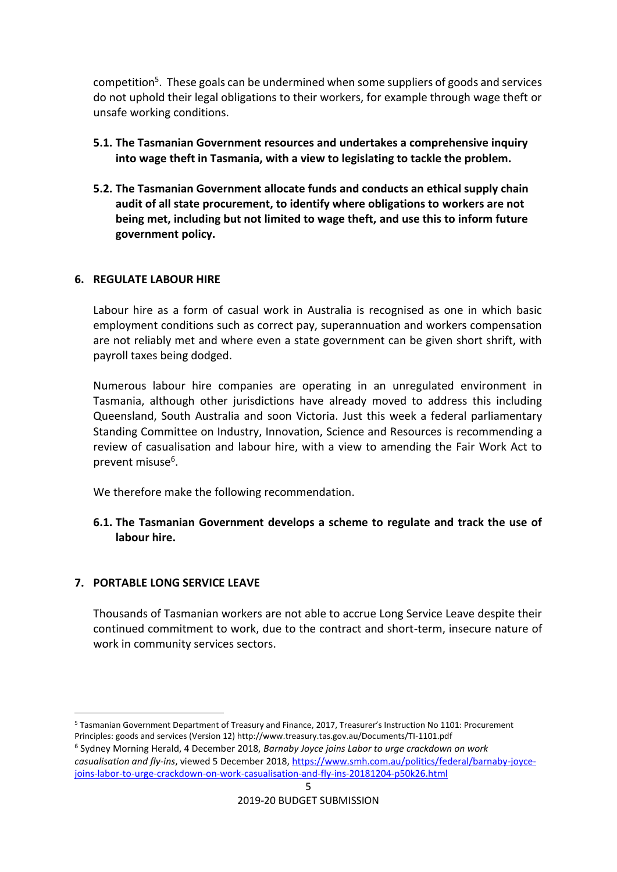competition<sup>5</sup>. These goals can be undermined when some suppliers of goods and services do not uphold their legal obligations to their workers, for example through wage theft or unsafe working conditions.

- **5.1. The Tasmanian Government resources and undertakes a comprehensive inquiry into wage theft in Tasmania, with a view to legislating to tackle the problem.**
- **5.2. The Tasmanian Government allocate funds and conducts an ethical supply chain audit of all state procurement, to identify where obligations to workers are not being met, including but not limited to wage theft, and use this to inform future government policy.**

#### **6. REGULATE LABOUR HIRE**

Labour hire as a form of casual work in Australia is recognised as one in which basic employment conditions such as correct pay, superannuation and workers compensation are not reliably met and where even a state government can be given short shrift, with payroll taxes being dodged.

Numerous labour hire companies are operating in an unregulated environment in Tasmania, although other jurisdictions have already moved to address this including Queensland, South Australia and soon Victoria. Just this week a federal parliamentary Standing Committee on Industry, Innovation, Science and Resources is recommending a review of casualisation and labour hire, with a view to amending the Fair Work Act to prevent misuse<sup>6</sup>.

We therefore make the following recommendation.

**6.1. The Tasmanian Government develops a scheme to regulate and track the use of labour hire.**

## **7. PORTABLE LONG SERVICE LEAVE**

Thousands of Tasmanian workers are not able to accrue Long Service Leave despite their continued commitment to work, due to the contract and short-term, insecure nature of work in community services sectors.

<sup>&</sup>lt;u>.</u> <sup>5</sup> Tasmanian Government Department of Treasury and Finance, 2017, Treasurer's Instruction No 1101: Procurement Principles: goods and services (Version 12) http://www.treasury.tas.gov.au/Documents/TI-1101.pdf

<sup>5</sup> 6 Sydney Morning Herald, 4 December 2018, *Barnaby Joyce joins Labor to urge crackdown on work casualisation and fly-ins*, viewed 5 December 2018, [https://www.smh.com.au/politics/federal/barnaby-joyce](https://www.smh.com.au/politics/federal/barnaby-joyce-joins-labor-to-urge-crackdown-on-work-casualisation-and-fly-ins-20181204-p50k26.html)[joins-labor-to-urge-crackdown-on-work-casualisation-and-fly-ins-20181204-p50k26.html](https://www.smh.com.au/politics/federal/barnaby-joyce-joins-labor-to-urge-crackdown-on-work-casualisation-and-fly-ins-20181204-p50k26.html)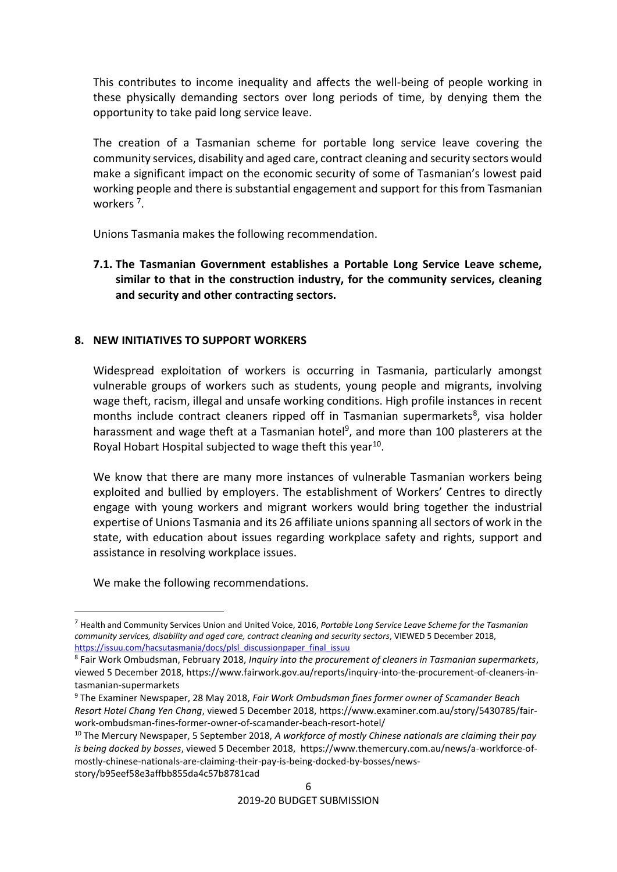This contributes to income inequality and affects the well-being of people working in these physically demanding sectors over long periods of time, by denying them the opportunity to take paid long service leave.

The creation of a Tasmanian scheme for portable long service leave covering the community services, disability and aged care, contract cleaning and security sectors would make a significant impact on the economic security of some of Tasmanian's lowest paid working people and there is substantial engagement and support for this from Tasmanian workers<sup>7</sup>.

Unions Tasmania makes the following recommendation.

## **7.1. The Tasmanian Government establishes a Portable Long Service Leave scheme, similar to that in the construction industry, for the community services, cleaning and security and other contracting sectors.**

## **8. NEW INITIATIVES TO SUPPORT WORKERS**

Widespread exploitation of workers is occurring in Tasmania, particularly amongst vulnerable groups of workers such as students, young people and migrants, involving wage theft, racism, illegal and unsafe working conditions. High profile instances in recent months include contract cleaners ripped off in Tasmanian supermarkets<sup>8</sup>, visa holder harassment and wage theft at a Tasmanian hotel<sup>9</sup>, and more than 100 plasterers at the Royal Hobart Hospital subjected to wage theft this year<sup>10</sup>.

We know that there are many more instances of vulnerable Tasmanian workers being exploited and bullied by employers. The establishment of Workers' Centres to directly engage with young workers and migrant workers would bring together the industrial expertise of Unions Tasmania and its 26 affiliate unions spanning all sectors of work in the state, with education about issues regarding workplace safety and rights, support and assistance in resolving workplace issues.

We make the following recommendations.

1

<sup>7</sup> Health and Community Services Union and United Voice, 2016, *Portable Long Service Leave Scheme for the Tasmanian community services, disability and aged care, contract cleaning and security sectors*, VIEWED 5 December 2018, [https://issuu.com/hacsutasmania/docs/plsl\\_discussionpaper\\_final\\_issuu](https://issuu.com/hacsutasmania/docs/plsl_discussionpaper_final_issuu) 

<sup>8</sup> Fair Work Ombudsman, February 2018, *Inquiry into the procurement of cleaners in Tasmanian supermarkets*, viewed 5 December 2018, https://www.fairwork.gov.au/reports/inquiry-into-the-procurement-of-cleaners-intasmanian-supermarkets

<sup>9</sup> The Examiner Newspaper, 28 May 2018, *Fair Work Ombudsman fines former owner of Scamander Beach Resort Hotel Chang Yen Chang*, viewed 5 December 2018, https://www.examiner.com.au/story/5430785/fairwork-ombudsman-fines-former-owner-of-scamander-beach-resort-hotel/

<sup>10</sup> The Mercury Newspaper, 5 September 2018, *A workforce of mostly Chinese nationals are claiming their pay is being docked by bosses*, viewed 5 December 2018, https://www.themercury.com.au/news/a-workforce-ofmostly-chinese-nationals-are-claiming-their-pay-is-being-docked-by-bosses/newsstory/b95eef58e3affbb855da4c57b8781cad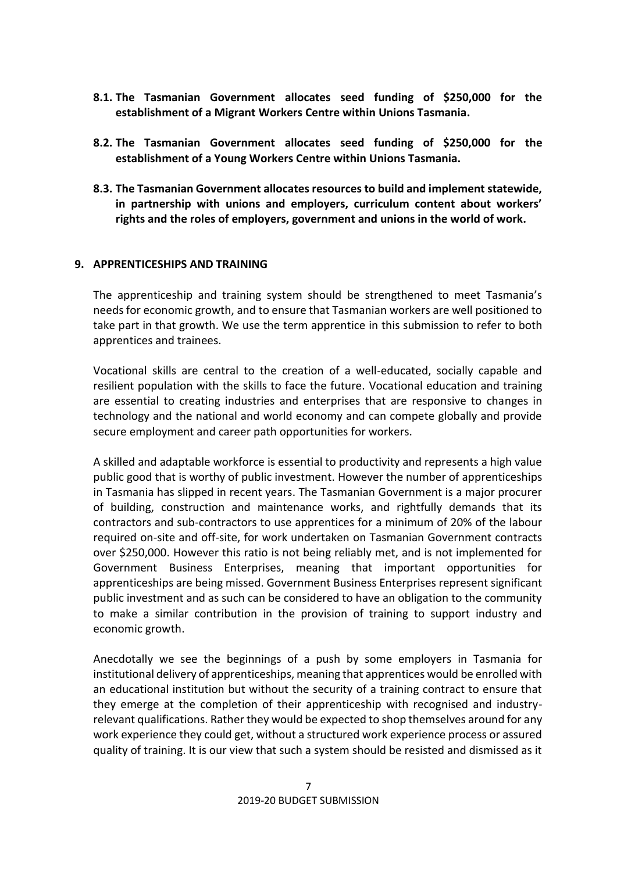- **8.1. The Tasmanian Government allocates seed funding of \$250,000 for the establishment of a Migrant Workers Centre within Unions Tasmania.**
- **8.2. The Tasmanian Government allocates seed funding of \$250,000 for the establishment of a Young Workers Centre within Unions Tasmania.**
- **8.3. The Tasmanian Government allocates resources to build and implement statewide, in partnership with unions and employers, curriculum content about workers' rights and the roles of employers, government and unions in the world of work.**

#### **9. APPRENTICESHIPS AND TRAINING**

The apprenticeship and training system should be strengthened to meet Tasmania's needs for economic growth, and to ensure that Tasmanian workers are well positioned to take part in that growth. We use the term apprentice in this submission to refer to both apprentices and trainees.

Vocational skills are central to the creation of a well-educated, socially capable and resilient population with the skills to face the future. Vocational education and training are essential to creating industries and enterprises that are responsive to changes in technology and the national and world economy and can compete globally and provide secure employment and career path opportunities for workers.

A skilled and adaptable workforce is essential to productivity and represents a high value public good that is worthy of public investment. However the number of apprenticeships in Tasmania has slipped in recent years. The Tasmanian Government is a major procurer of building, construction and maintenance works, and rightfully demands that its contractors and sub-contractors to use apprentices for a minimum of 20% of the labour required on-site and off-site, for work undertaken on Tasmanian Government contracts over \$250,000. However this ratio is not being reliably met, and is not implemented for Government Business Enterprises, meaning that important opportunities for apprenticeships are being missed. Government Business Enterprises represent significant public investment and as such can be considered to have an obligation to the community to make a similar contribution in the provision of training to support industry and economic growth.

Anecdotally we see the beginnings of a push by some employers in Tasmania for institutional delivery of apprenticeships, meaning that apprentices would be enrolled with an educational institution but without the security of a training contract to ensure that they emerge at the completion of their apprenticeship with recognised and industryrelevant qualifications. Rather they would be expected to shop themselves around for any work experience they could get, without a structured work experience process or assured quality of training. It is our view that such a system should be resisted and dismissed as it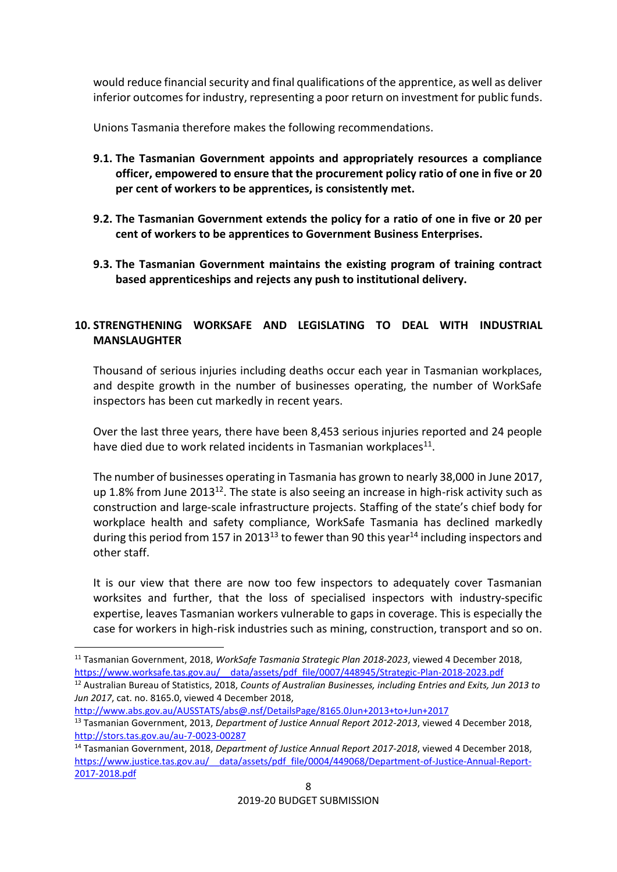would reduce financial security and final qualifications of the apprentice, as well as deliver inferior outcomes for industry, representing a poor return on investment for public funds.

Unions Tasmania therefore makes the following recommendations.

- **9.1. The Tasmanian Government appoints and appropriately resources a compliance officer, empowered to ensure that the procurement policy ratio of one in five or 20 per cent of workers to be apprentices, is consistently met.**
- **9.2. The Tasmanian Government extends the policy for a ratio of one in five or 20 per cent of workers to be apprentices to Government Business Enterprises.**
- **9.3. The Tasmanian Government maintains the existing program of training contract based apprenticeships and rejects any push to institutional delivery.**

## **10. STRENGTHENING WORKSAFE AND LEGISLATING TO DEAL WITH INDUSTRIAL MANSLAUGHTER**

Thousand of serious injuries including deaths occur each year in Tasmanian workplaces, and despite growth in the number of businesses operating, the number of WorkSafe inspectors has been cut markedly in recent years.

Over the last three years, there have been 8,453 serious injuries reported and 24 people have died due to work related incidents in Tasmanian workplaces $^{11}$ .

The number of businesses operating in Tasmania has grown to nearly 38,000 in June 2017, up 1.8% from June 2013<sup>12</sup>. The state is also seeing an increase in high-risk activity such as construction and large-scale infrastructure projects. Staffing of the state's chief body for workplace health and safety compliance, WorkSafe Tasmania has declined markedly during this period from 157 in 2013<sup>13</sup> to fewer than 90 this year<sup>14</sup> including inspectors and other staff.

It is our view that there are now too few inspectors to adequately cover Tasmanian worksites and further, that the loss of specialised inspectors with industry-specific expertise, leaves Tasmanian workers vulnerable to gaps in coverage. This is especially the case for workers in high-risk industries such as mining, construction, transport and so on.

<u>.</u>

<sup>12</sup> Australian Bureau of Statistics, 2018, *Counts of Australian Businesses, including Entries and Exits, Jun 2013 to Jun 2017*, cat. no. 8165.0, viewed 4 December 2018,

<http://www.abs.gov.au/AUSSTATS/abs@.nsf/DetailsPage/8165.0Jun+2013+to+Jun+2017> <sup>13</sup> Tasmanian Government, 2013, *Department of Justice Annual Report 2012-2013*, viewed 4 December 2018, <http://stors.tas.gov.au/au-7-0023-00287>

<sup>11</sup> Tasmanian Government, 2018, *WorkSafe Tasmania Strategic Plan 2018-2023*, viewed 4 December 2018, https://www.worksafe.tas.gov.au/ data/assets/pdf file/0007/448945/Strategic-Plan-2018-2023.pdf

<sup>14</sup> Tasmanian Government, 2018, *Department of Justice Annual Report 2017-2018*, viewed 4 December 2018, [https://www.justice.tas.gov.au/\\_\\_data/assets/pdf\\_file/0004/449068/Department-of-Justice-Annual-Report-](https://www.justice.tas.gov.au/__data/assets/pdf_file/0004/449068/Department-of-Justice-Annual-Report-2017-2018.pdf)[2017-2018.pdf](https://www.justice.tas.gov.au/__data/assets/pdf_file/0004/449068/Department-of-Justice-Annual-Report-2017-2018.pdf)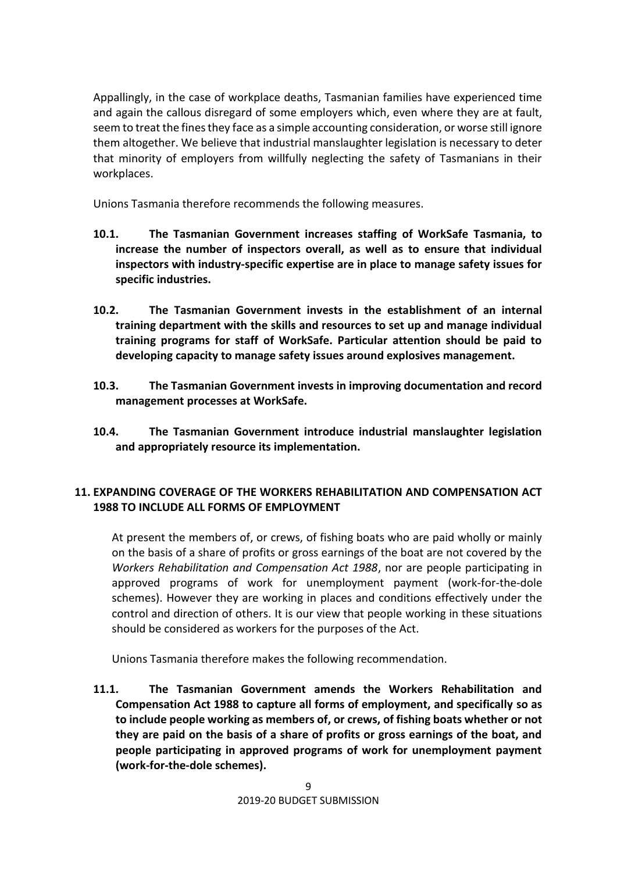Appallingly, in the case of workplace deaths, Tasmanian families have experienced time and again the callous disregard of some employers which, even where they are at fault, seem to treat the fines they face as a simple accounting consideration, or worse still ignore them altogether. We believe that industrial manslaughter legislation is necessary to deter that minority of employers from willfully neglecting the safety of Tasmanians in their workplaces.

Unions Tasmania therefore recommends the following measures.

- **10.1. The Tasmanian Government increases staffing of WorkSafe Tasmania, to increase the number of inspectors overall, as well as to ensure that individual inspectors with industry-specific expertise are in place to manage safety issues for specific industries.**
- **10.2. The Tasmanian Government invests in the establishment of an internal training department with the skills and resources to set up and manage individual training programs for staff of WorkSafe. Particular attention should be paid to developing capacity to manage safety issues around explosives management.**
- **10.3. The Tasmanian Government invests in improving documentation and record management processes at WorkSafe.**
- **10.4. The Tasmanian Government introduce industrial manslaughter legislation and appropriately resource its implementation.**

## **11. EXPANDING COVERAGE OF THE WORKERS REHABILITATION AND COMPENSATION ACT 1988 TO INCLUDE ALL FORMS OF EMPLOYMENT**

At present the members of, or crews, of fishing boats who are paid wholly or mainly on the basis of a share of profits or gross earnings of the boat are not covered by the *Workers Rehabilitation and Compensation Act 1988*, nor are people participating in approved programs of work for unemployment payment (work-for-the-dole schemes). However they are working in places and conditions effectively under the control and direction of others. It is our view that people working in these situations should be considered as workers for the purposes of the Act.

Unions Tasmania therefore makes the following recommendation.

**11.1. The Tasmanian Government amends the Workers Rehabilitation and Compensation Act 1988 to capture all forms of employment, and specifically so as to include people working as members of, or crews, of fishing boats whether or not they are paid on the basis of a share of profits or gross earnings of the boat, and people participating in approved programs of work for unemployment payment (work-for-the-dole schemes).**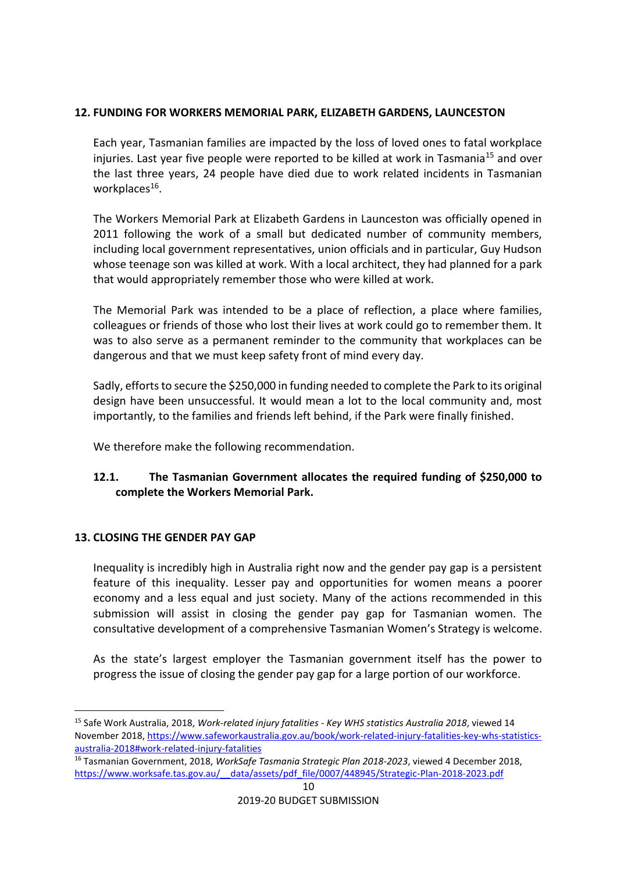## **12. FUNDING FOR WORKERS MEMORIAL PARK, ELIZABETH GARDENS, LAUNCESTON**

Each year, Tasmanian families are impacted by the loss of loved ones to fatal workplace injuries. Last year five people were reported to be killed at work in Tasmania<sup>15</sup> and over the last three years, 24 people have died due to work related incidents in Tasmanian workplaces<sup>16</sup>.

The Workers Memorial Park at Elizabeth Gardens in Launceston was officially opened in 2011 following the work of a small but dedicated number of community members, including local government representatives, union officials and in particular, Guy Hudson whose teenage son was killed at work. With a local architect, they had planned for a park that would appropriately remember those who were killed at work.

The Memorial Park was intended to be a place of reflection, a place where families, colleagues or friends of those who lost their lives at work could go to remember them. It was to also serve as a permanent reminder to the community that workplaces can be dangerous and that we must keep safety front of mind every day.

Sadly, efforts to secure the \$250,000 in funding needed to complete the Park to its original design have been unsuccessful. It would mean a lot to the local community and, most importantly, to the families and friends left behind, if the Park were finally finished.

We therefore make the following recommendation.

# **12.1. The Tasmanian Government allocates the required funding of \$250,000 to complete the Workers Memorial Park.**

# **13. CLOSING THE GENDER PAY GAP**

<u>.</u>

Inequality is incredibly high in Australia right now and the gender pay gap is a persistent feature of this inequality. Lesser pay and opportunities for women means a poorer economy and a less equal and just society. Many of the actions recommended in this submission will assist in closing the gender pay gap for Tasmanian women. The consultative development of a comprehensive Tasmanian Women's Strategy is welcome.

As the state's largest employer the Tasmanian government itself has the power to progress the issue of closing the gender pay gap for a large portion of our workforce.

<sup>15</sup> Safe Work Australia, 2018, *Work-related injury fatalities - Key WHS statistics Australia 2018*, viewed 14 November 2018, [https://www.safeworkaustralia.gov.au/book/work-related-injury-fatalities-key-whs-statistics](https://www.safeworkaustralia.gov.au/book/work-related-injury-fatalities-key-whs-statistics-australia-2018#work-related-injury-fatalities)[australia-2018#work-related-injury-fatalities](https://www.safeworkaustralia.gov.au/book/work-related-injury-fatalities-key-whs-statistics-australia-2018#work-related-injury-fatalities)

<sup>16</sup> Tasmanian Government, 2018, *WorkSafe Tasmania Strategic Plan 2018-2023*, viewed 4 December 2018, https://www.worksafe.tas.gov.au/ data/assets/pdf file/0007/448945/Strategic-Plan-2018-2023.pdf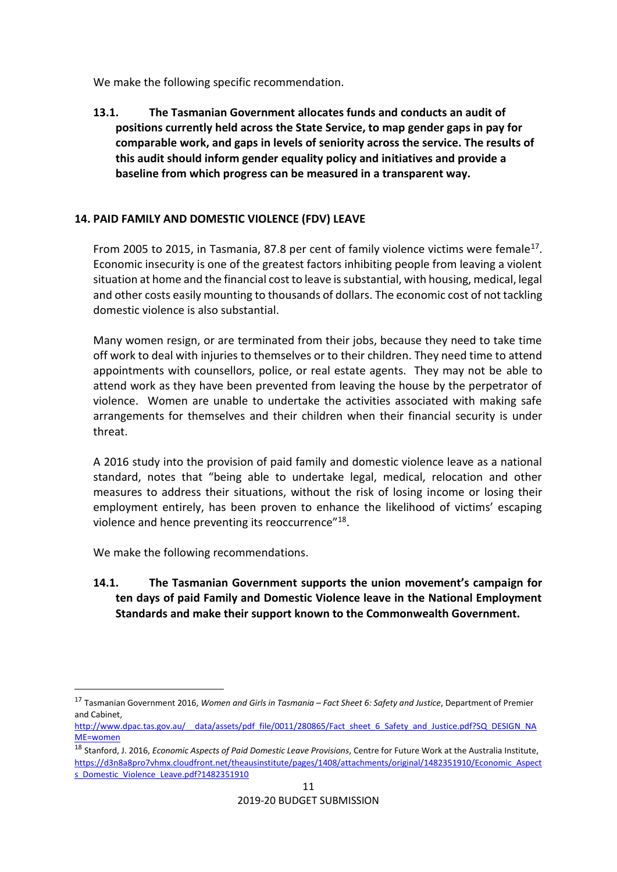We make the following specific recommendation.

**13.1. The Tasmanian Government allocates funds and conducts an audit of positions currently held across the State Service, to map gender gaps in pay for comparable work, and gaps in levels of seniority across the service. The results of this audit should inform gender equality policy and initiatives and provide a baseline from which progress can be measured in a transparent way.**

## **14. PAID FAMILY AND DOMESTIC VIOLENCE (FDV) LEAVE**

From 2005 to 2015, in Tasmania, 87.8 per cent of family violence victims were female<sup>17</sup>. Economic insecurity is one of the greatest factors inhibiting people from leaving a violent situation at home and the financial cost to leave is substantial, with housing, medical, legal and other costs easily mounting to thousands of dollars. The economic cost of not tackling domestic violence is also substantial.

Many women resign, or are terminated from their jobs, because they need to take time off work to deal with injuries to themselves or to their children. They need time to attend appointments with counsellors, police, or real estate agents. They may not be able to attend work as they have been prevented from leaving the house by the perpetrator of violence. Women are unable to undertake the activities associated with making safe arrangements for themselves and their children when their financial security is under threat.

A 2016 study into the provision of paid family and domestic violence leave as a national standard, notes that "being able to undertake legal, medical, relocation and other measures to address their situations, without the risk of losing income or losing their employment entirely, has been proven to enhance the likelihood of victims' escaping violence and hence preventing its reoccurrence"<sup>18</sup>.

We make the following recommendations.

<u>.</u>

**14.1. The Tasmanian Government supports the union movement's campaign for ten days of paid Family and Domestic Violence leave in the National Employment Standards and make their support known to the Commonwealth Government.** 

<sup>17</sup> Tasmanian Government 2016, *Women and Girls in Tasmania – Fact Sheet 6: Safety and Justice*, Department of Premier and Cabinet,

http://www.dpac.tas.gov.au/ data/assets/pdf file/0011/280865/Fact\_sheet\_6\_Safety\_and\_Justice.pdf?SQ\_DESIGN\_NA [ME=women](http://www.dpac.tas.gov.au/__data/assets/pdf_file/0011/280865/Fact_sheet_6_Safety_and_Justice.pdf?SQ_DESIGN_NAME=women)

<sup>18</sup> Stanford, J. 2016, *Economic Aspects of Paid Domestic Leave Provisions*, Centre for Future Work at the Australia Institute, [https://d3n8a8pro7vhmx.cloudfront.net/theausinstitute/pages/1408/attachments/original/1482351910/Economic\\_Aspect](https://d3n8a8pro7vhmx.cloudfront.net/theausinstitute/pages/1408/attachments/original/1482351910/Economic_Aspects_Domestic_Violence_Leave.pdf?1482351910) [s\\_Domestic\\_Violence\\_Leave.pdf?1482351910](https://d3n8a8pro7vhmx.cloudfront.net/theausinstitute/pages/1408/attachments/original/1482351910/Economic_Aspects_Domestic_Violence_Leave.pdf?1482351910)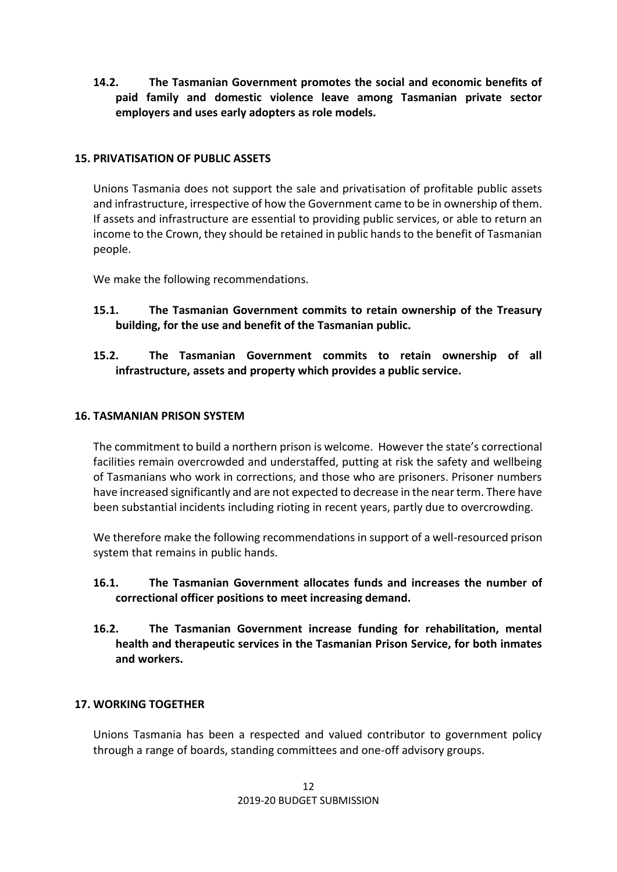**14.2. The Tasmanian Government promotes the social and economic benefits of paid family and domestic violence leave among Tasmanian private sector employers and uses early adopters as role models.**

#### **15. PRIVATISATION OF PUBLIC ASSETS**

Unions Tasmania does not support the sale and privatisation of profitable public assets and infrastructure, irrespective of how the Government came to be in ownership of them. If assets and infrastructure are essential to providing public services, or able to return an income to the Crown, they should be retained in public hands to the benefit of Tasmanian people.

We make the following recommendations.

**15.1. The Tasmanian Government commits to retain ownership of the Treasury building, for the use and benefit of the Tasmanian public.**

## **15.2. The Tasmanian Government commits to retain ownership of all infrastructure, assets and property which provides a public service.**

#### **16. TASMANIAN PRISON SYSTEM**

The commitment to build a northern prison is welcome. However the state's correctional facilities remain overcrowded and understaffed, putting at risk the safety and wellbeing of Tasmanians who work in corrections, and those who are prisoners. Prisoner numbers have increased significantly and are not expected to decrease in the near term. There have been substantial incidents including rioting in recent years, partly due to overcrowding.

We therefore make the following recommendations in support of a well-resourced prison system that remains in public hands.

- **16.1. The Tasmanian Government allocates funds and increases the number of correctional officer positions to meet increasing demand.**
- **16.2. The Tasmanian Government increase funding for rehabilitation, mental health and therapeutic services in the Tasmanian Prison Service, for both inmates and workers.**

#### **17. WORKING TOGETHER**

Unions Tasmania has been a respected and valued contributor to government policy through a range of boards, standing committees and one-off advisory groups.